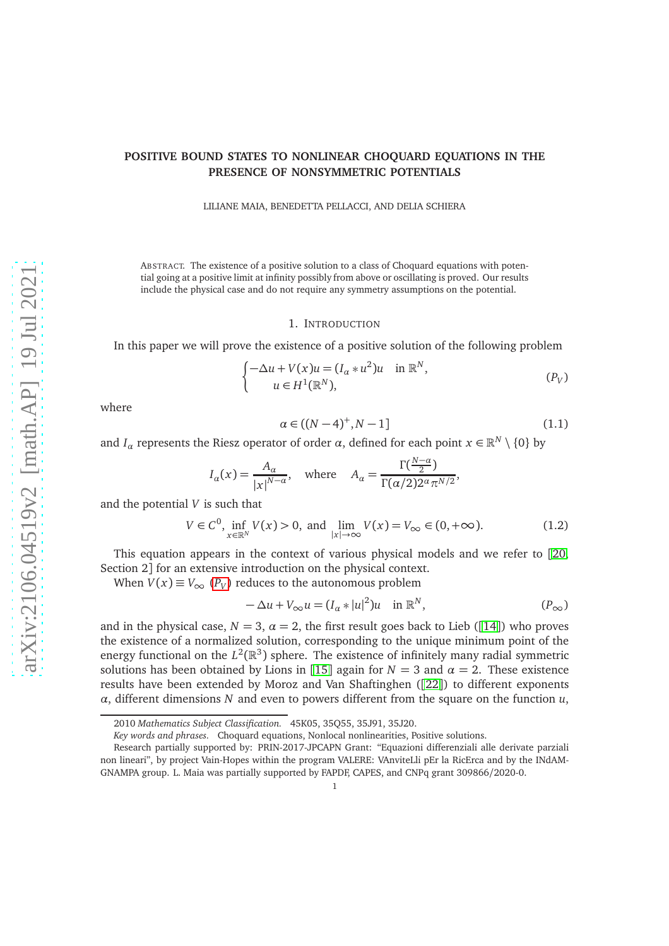## **POSITIVE BOUND STATES TO NONLINEAR CHOQUARD EQUATIONS IN THE PRESENCE OF NONSYMMETRIC POTENTIALS**

LILIANE MAIA, BENEDETTA PELLACCI, AND DELIA SCHIERA

ABSTRACT. The existence of a positive solution to a class of Choquard equations with potential going at a positive limit at infinity possibly from above or oscillating is proved. Our results include the physical case and do not require any symmetry assumptions on the potential.

#### <span id="page-0-0"></span>1. INTRODUCTION

In this paper we will prove the existence of a positive solution of the following problem

$$
\begin{cases}\n-\Delta u + V(x)u = (I_{\alpha} * u^2)u & \text{in } \mathbb{R}^N, \\
u \in H^1(\mathbb{R}^N),\n\end{cases} \tag{P_V}
$$

where

<span id="page-0-3"></span>
$$
\alpha \in ((N-4)^{+}, N-1] \tag{1.1}
$$

and *I*<sub>*α*</sub> represents the Riesz operator of order *α*, defined for each point  $x \in \mathbb{R}^N \setminus \{0\}$  by

$$
I_{\alpha}(x) = \frac{A_{\alpha}}{|x|^{N-\alpha}}, \quad \text{where} \quad A_{\alpha} = \frac{\Gamma(\frac{N-\alpha}{2})}{\Gamma(\alpha/2)2^{\alpha} \pi^{N/2}},
$$

and the potential *V* is such that

<span id="page-0-2"></span>
$$
V \in C^{0}, \inf_{x \in \mathbb{R}^{N}} V(x) > 0, \text{ and } \lim_{|x| \to \infty} V(x) = V_{\infty} \in (0, +\infty).
$$
 (1.2)

This equation appears in the context of various physical models and we refer to [[20,](#page-15-0) Section 2] for an extensive introduction on the physical context.

When  $V(x) \equiv V_{\infty} (P_V)$  $V(x) \equiv V_{\infty} (P_V)$  $V(x) \equiv V_{\infty} (P_V)$  reduces to the autonomous problem

<span id="page-0-1"></span>
$$
-\Delta u + V_{\infty} u = (I_{\alpha} * |u|^2)u \quad \text{in } \mathbb{R}^N, \tag{P_{\infty}}
$$

and in the physical case,  $N = 3$ ,  $\alpha = 2$ , the first result goes back to Lieb ([[14](#page-15-1)]) who proves the existence of a normalized solution, corresponding to the unique minimum point of the energy functional on the  $L^2(\mathbb{R}^3)$  sphere. The existence of infinitely many radial symmetric solutions has been obtained by Lions in [[15](#page-15-2)] again for  $N = 3$  and  $\alpha = 2$ . These existence results have been extended by Moroz and Van Shaftinghen ([[22](#page-15-3)]) to different exponents *α*, different dimensions *N* and even to powers different from the square on the function *u*,

<sup>2010</sup> *Mathematics Subject Classification.* 45K05, 35Q55, 35J91, 35J20.

*Key words and phrases.* Choquard equations, Nonlocal nonlinearities, Positive solutions.

Research partially supported by: PRIN-2017-JPCAPN Grant: "Equazioni differenziali alle derivate parziali non lineari", by project Vain-Hopes within the program VALERE: VAnviteLli pEr la RicErca and by the INdAM-GNAMPA group. L. Maia was partially supported by FAPDF, CAPES, and CNPq grant 309866/2020-0.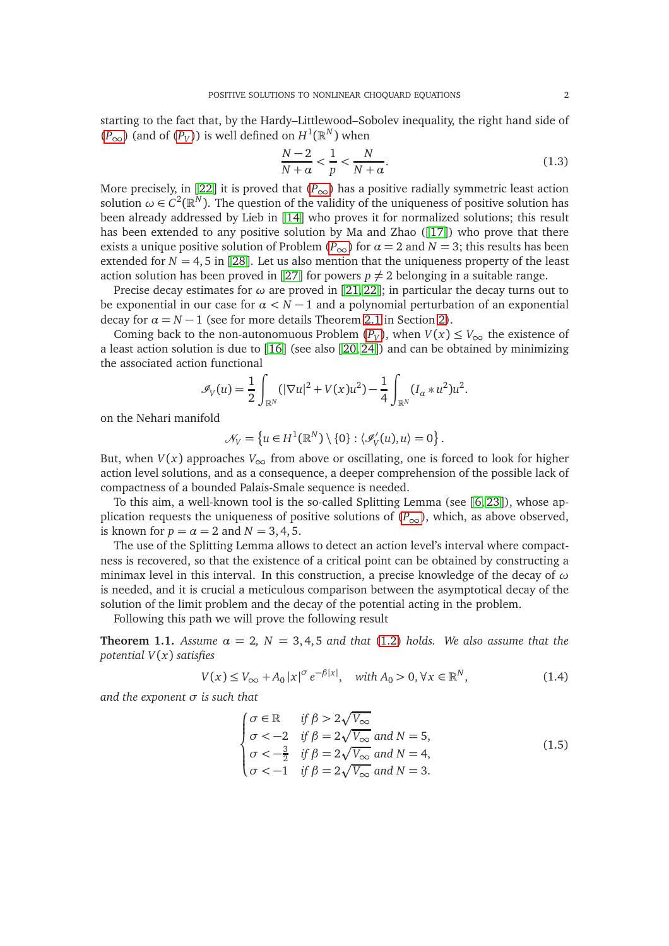starting to the fact that, by the Hardy–Littlewood–Sobolev inequality, the right hand side of  $(P<sub>∞</sub>)$  $(P<sub>∞</sub>)$  $(P<sub>∞</sub>)$  (and of  $(P<sub>V</sub>)$ ) is well defined on  $H<sup>1</sup>(ℝ<sup>N</sup>)$  when

$$
\frac{N-2}{N+\alpha} < \frac{1}{p} < \frac{N}{N+\alpha}.\tag{1.3}
$$

More precisely, in [[22](#page-15-3)] it is proved that  $(P_{\infty})$  $(P_{\infty})$  $(P_{\infty})$  has a positive radially symmetric least action solution  $\omega \in C^2(\mathbb{R}^N)$ . The question of the validity of the uniqueness of positive solution has been already addressed by Lieb in [[14](#page-15-1)] who proves it for normalized solutions; this result has been extended to any positive solution by Ma and Zhao ([[17](#page-15-4)]) who prove that there exists a unique positive solution of [P](#page-0-1)roblem ( $P_{\infty}$ ) for  $\alpha = 2$  and  $N = 3$ ; this results has been extended for  $N = 4, 5$  in [[28](#page-15-5)]. Let us also mention that the uniqueness property of the least action solution has been proved in [[27](#page-15-6)] for powers  $p \neq 2$  belonging in a suitable range.

Precise decay estimates for *ω* are proved in [[21,](#page-15-7) [22](#page-15-3)]; in particular the decay turns out to be exponential in our case for *α < N* − 1 and a polynomial perturbation of an exponential decay for  $\alpha = N - 1$  (see for more details Theorem [2.1](#page-3-0) in Section [2\)](#page-2-0).

Coming back to the non-autonomuous [P](#page-0-0)roblem  $(P_V)$ , when  $V(x) \le V_{\infty}$  the existence of a least action solution is due to [[16](#page-15-8)] (see also [[20,](#page-15-0) [24](#page-15-9)]) and can be obtained by minimizing the associated action functional

$$
\mathscr{I}_V(u) = \frac{1}{2} \int_{\mathbb{R}^N} (|\nabla u|^2 + V(x)u^2) - \frac{1}{4} \int_{\mathbb{R}^N} (I_\alpha * u^2)u^2.
$$

on the Nehari manifold

$$
\mathcal{N}_V = \left\{ u \in H^1(\mathbb{R}^N) \setminus \{0\} : \langle \mathcal{I}_V'(u), u \rangle = 0 \right\}.
$$

But, when  $V(x)$  approaches  $V_{\infty}$  from above or oscillating, one is forced to look for higher action level solutions, and as a consequence, a deeper comprehension of the possible lack of compactness of a bounded Palais-Smale sequence is needed.

To this aim, a well-known tool is the so-called Splitting Lemma (see [[6,](#page-14-0) [23](#page-15-10)]), whose application requests the uniqueness of positive solutions of  $(P_{\infty})$  $(P_{\infty})$  $(P_{\infty})$ , which, as above observed, is known for  $p = \alpha = 2$  and  $N = 3, 4, 5$ .

The use of the Splitting Lemma allows to detect an action level's interval where compactness is recovered, so that the existence of a critical point can be obtained by constructing a minimax level in this interval. In this construction, a precise knowledge of the decay of *ω* is needed, and it is crucial a meticulous comparison between the asymptotical decay of the solution of the limit problem and the decay of the potential acting in the problem.

Following this path we will prove the following result

<span id="page-1-0"></span>**Theorem 1.1.** *Assume*  $\alpha = 2$ ,  $N = 3, 4, 5$  *and that* [\(1.2\)](#page-0-2) *holds. We also assume that the potential V*(*x*) *satisfies*

$$
V(x) \le V_{\infty} + A_0 |x|^{\sigma} e^{-\beta |x|}, \quad \text{with } A_0 > 0, \forall x \in \mathbb{R}^N,
$$
 (1.4)

*and the exponent σ is such that*

<span id="page-1-1"></span>
$$
\begin{cases}\n\sigma \in \mathbb{R} & \text{if } \beta > 2\sqrt{V_{\infty}} \\
\sigma < -2 & \text{if } \beta = 2\sqrt{V_{\infty}} \text{ and } N = 5, \\
\sigma < -\frac{3}{2} & \text{if } \beta = 2\sqrt{V_{\infty}} \text{ and } N = 4, \\
\sigma < -1 & \text{if } \beta = 2\sqrt{V_{\infty}} \text{ and } N = 3.\n\end{cases}
$$
\n(1.5)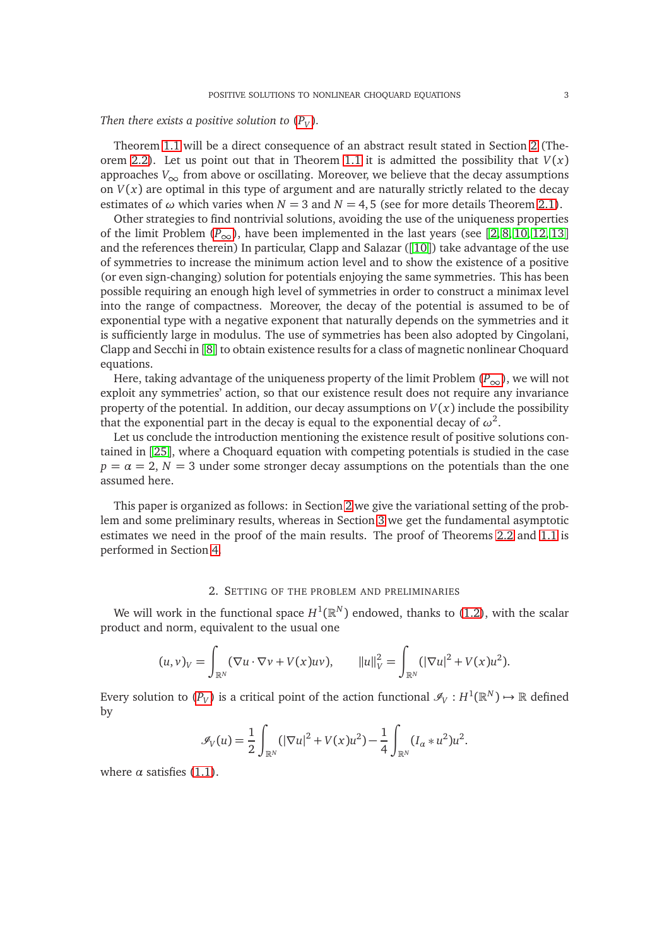# *Then there exists a positive solution to*  $(P_V)$  $(P_V)$  $(P_V)$ *.*

Theorem [1.1](#page-1-0) will be a direct consequence of an abstract result stated in Section [2](#page-2-0) (The-orem [2.2\)](#page-4-0). Let us point out that in Theorem [1.1](#page-1-0) it is admitted the possibility that  $V(x)$ approaches  $V_{\infty}$  from above or oscillating. Moreover, we believe that the decay assumptions on  $V(x)$  are optimal in this type of argument and are naturally strictly related to the decay estimates of  $\omega$  which varies when  $N = 3$  and  $N = 4, 5$  (see for more details Theorem [2.1\)](#page-3-0).

Other strategies to find nontrivial solutions, avoiding the use of the uniqueness properties of the limit [P](#page-0-1)roblem  $(P_{\infty})$ , have been implemented in the last years (see [[2,](#page-14-1) [8,](#page-14-2) [10,](#page-15-11) [12,](#page-15-12) [13](#page-15-13)] and the references therein) In particular, Clapp and Salazar  $(10)$  $(10)$  $(10)$  take advantage of the use of symmetries to increase the minimum action level and to show the existence of a positive (or even sign-changing) solution for potentials enjoying the same symmetries. This has been possible requiring an enough high level of symmetries in order to construct a minimax level into the range of compactness. Moreover, the decay of the potential is assumed to be of exponential type with a negative exponent that naturally depends on the symmetries and it is sufficiently large in modulus. The use of symmetries has been also adopted by Cingolani, Clapp and Secchi in [[8](#page-14-2)] to obtain existence results for a class of magnetic nonlinear Choquard equations.

Here, taking advantage of the uniqueness property of the limit [P](#page-0-1)roblem  $(P_{\infty})$ , we will not exploit any symmetries' action, so that our existence result does not require any invariance property of the potential. In addition, our decay assumptions on  $V(x)$  include the possibility that the exponential part in the decay is equal to the exponential decay of  $\omega^2.$ 

Let us conclude the introduction mentioning the existence result of positive solutions contained in [[25](#page-15-14)], where a Choquard equation with competing potentials is studied in the case  $p = \alpha = 2$ ,  $N = 3$  under some stronger decay assumptions on the potentials than the one assumed here.

This paper is organized as follows: in Section [2](#page-2-0) we give the variational setting of the problem and some preliminary results, whereas in Section [3](#page-5-0) we get the fundamental asymptotic estimates we need in the proof of the main results. The proof of Theorems [2.2](#page-4-0) and [1.1](#page-1-0) is performed in Section [4.](#page-8-0)

### 2. SETTING OF THE PROBLEM AND PRELIMINARIES

<span id="page-2-0"></span>We will work in the functional space  $H^1(\mathbb{R}^N)$  endowed, thanks to [\(1.2\)](#page-0-2), with the scalar product and norm, equivalent to the usual one

$$
(u,v)_V = \int_{\mathbb{R}^N} (\nabla u \cdot \nabla v + V(x)uv), \qquad ||u||_V^2 = \int_{\mathbb{R}^N} (|\nabla u|^2 + V(x)u^2).
$$

Every solution to  $(P_V)$  $(P_V)$  $(P_V)$  is a critical point of the action functional  $\mathscr{I}_V: H^1(\mathbb{R}^N) \mapsto \mathbb{R}$  defined by

$$
\mathscr{I}_V(u) = \frac{1}{2} \int_{\mathbb{R}^N} (|\nabla u|^2 + V(x)u^2) - \frac{1}{4} \int_{\mathbb{R}^N} (I_\alpha * u^2)u^2.
$$

where  $\alpha$  satisfies [\(1.1\)](#page-0-3).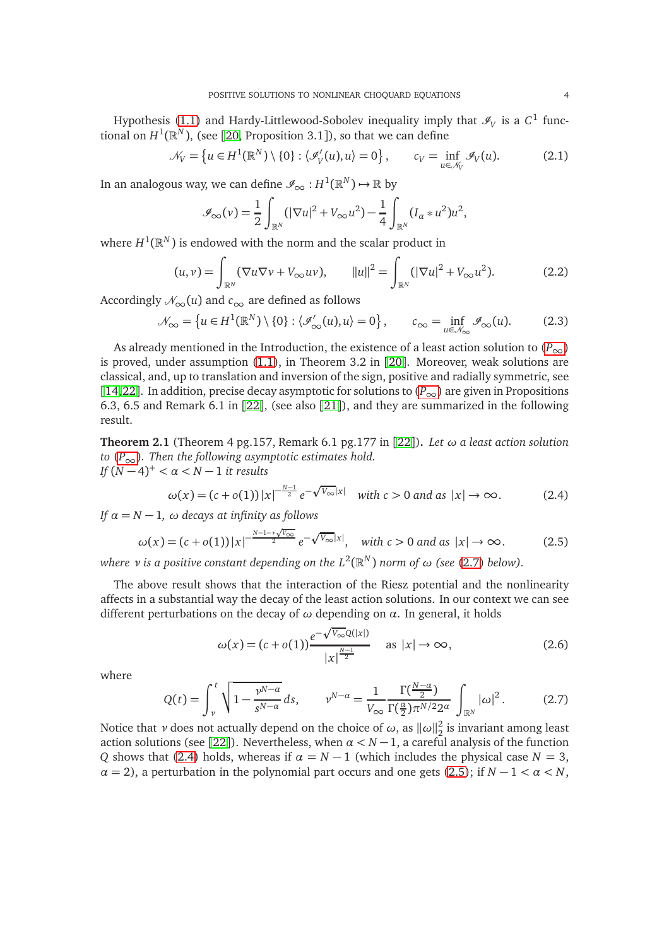Hypothesis [\(1.1\)](#page-0-3) and Hardy-Littlewood-Sobolev inequality imply that  $\mathcal{I}_V$  is a  $C^1$  functional on  $H^1(\mathbb{R}^N)$ , (see [[20,](#page-15-0) Proposition 3.1]), so that we can define

<span id="page-3-6"></span>
$$
\mathcal{N}_V = \left\{ u \in H^1(\mathbb{R}^N) \setminus \{0\} : \langle \mathcal{I}_V'(u), u \rangle = 0 \right\}, \qquad c_V = \inf_{u \in \mathcal{N}_V} \mathcal{I}_V(u). \tag{2.1}
$$

In an analogous way, we can define  $\mathscr{I}_{\infty}: H^{1}(\mathbb{R}^{N}) \mapsto \mathbb{R}$  by

$$
\mathscr{I}_{\infty}(\nu) = \frac{1}{2} \int_{\mathbb{R}^N} (|\nabla u|^2 + V_{\infty} u^2) - \frac{1}{4} \int_{\mathbb{R}^N} (I_{\alpha} * u^2) u^2,
$$

where  $H^1(\mathbb{R}^N)$  is endowed with the norm and the scalar product in

$$
(u, v) = \int_{\mathbb{R}^N} (\nabla u \nabla v + V_{\infty} u v), \qquad ||u||^2 = \int_{\mathbb{R}^N} (|\nabla u|^2 + V_{\infty} u^2).
$$
 (2.2)

Accordingly  $\mathcal{N}_{\infty}(u)$  and  $c_{\infty}$  are defined as follows

<span id="page-3-4"></span>
$$
\mathcal{N}_{\infty} = \left\{ u \in H^{1}(\mathbb{R}^{N}) \setminus \{0\} : \langle \mathcal{I}_{\infty}^{\prime}(u), u \rangle = 0 \right\}, \qquad c_{\infty} = \inf_{u \in \mathcal{N}_{\infty}} \mathcal{I}_{\infty}(u). \tag{2.3}
$$

As already mentioned in the Introduction, the existence of a least action solution to  $(P_{\infty})$  $(P_{\infty})$  $(P_{\infty})$ is proved, under assumption [\(1.1\)](#page-0-3), in Theorem 3.2 in [[20](#page-15-0)]. Moreover, weak solutions are classical, and, up to translation and inversion of the sign, positive and radially symmetric, see [[14,](#page-15-1)[22](#page-15-3)]. In addition, precise decay asymptotic for solutions to  $(P_{\infty})$  $(P_{\infty})$  $(P_{\infty})$  are given in Propositions 6.3, 6.5 and Remark 6.1 in [[22](#page-15-3)], (see also [[21](#page-15-7)]), and they are summarized in the following result.

<span id="page-3-0"></span>**Theorem 2.1** (Theorem 4 pg.157, Remark 6.1 pg.177 in [[22](#page-15-3)])**.** *Let ω a least action solution to* ( $P_{\infty}$  $P_{\infty}$ ). Then the following asymptotic estimates hold. *If* (*N* − 4) <sup>+</sup> *< α < <sup>N</sup>* <sup>−</sup> <sup>1</sup> *it results*

<span id="page-3-2"></span>
$$
\omega(x) = (c + o(1)) |x|^{-\frac{N-1}{2}} e^{-\sqrt{V_{\infty}}|x|} \quad \text{with } c > 0 \text{ and as } |x| \to \infty.
$$
 (2.4)

*If*  $\alpha = N - 1$ ,  $\omega$  *decays at infinity as follows* 

<span id="page-3-3"></span>
$$
\omega(x) = (c + o(1)) |x|^{-\frac{N-1-\nu\sqrt{V_{\infty}}}{2}} e^{-\sqrt{V_{\infty}}|x|}, \quad \text{with } c > 0 \text{ and as } |x| \to \infty.
$$
 (2.5)

*where ν is a positive constant depending on the*  $L^2(\mathbb{R}^N)$  *norm of ω (see [\(2.7\)](#page-3-1) below).* 

The above result shows that the interaction of the Riesz potential and the nonlinearity affects in a substantial way the decay of the least action solutions. In our context we can see different perturbations on the decay of *ω* depending on *α*. In general, it holds

<span id="page-3-5"></span>
$$
\omega(x) = (c + o(1)) \frac{e^{-\sqrt{V_{\infty}}Q(|x|)}}{|x|^{\frac{N-1}{2}}} \quad \text{as } |x| \to \infty,
$$
\n(2.6)

where

<span id="page-3-1"></span>
$$
Q(t) = \int_{\nu}^{t} \sqrt{1 - \frac{\nu^{N-\alpha}}{s^{N-\alpha}}} ds, \qquad \nu^{N-\alpha} = \frac{1}{V_{\infty}} \frac{\Gamma(\frac{N-\alpha}{2})}{\Gamma(\frac{\alpha}{2}) \pi^{N/2} 2^{\alpha}} \int_{\mathbb{R}^N} |\omega|^2.
$$
 (2.7)

Notice that *ν* does not actually depend on the choice of  $\omega$ , as  $\|\omega\|_2^2$  $\frac{2}{2}$  is invariant among least action solutions (see [[22](#page-15-3)]). Nevertheless, when  $\alpha < N - 1$ , a careful analysis of the function *Q* shows that [\(2.4\)](#page-3-2) holds, whereas if  $\alpha = N - 1$  (which includes the physical case  $N = 3$ ,  $\alpha = 2$ ), a perturbation in the polynomial part occurs and one gets [\(2.5\)](#page-3-3); if  $N - 1 < \alpha < N$ ,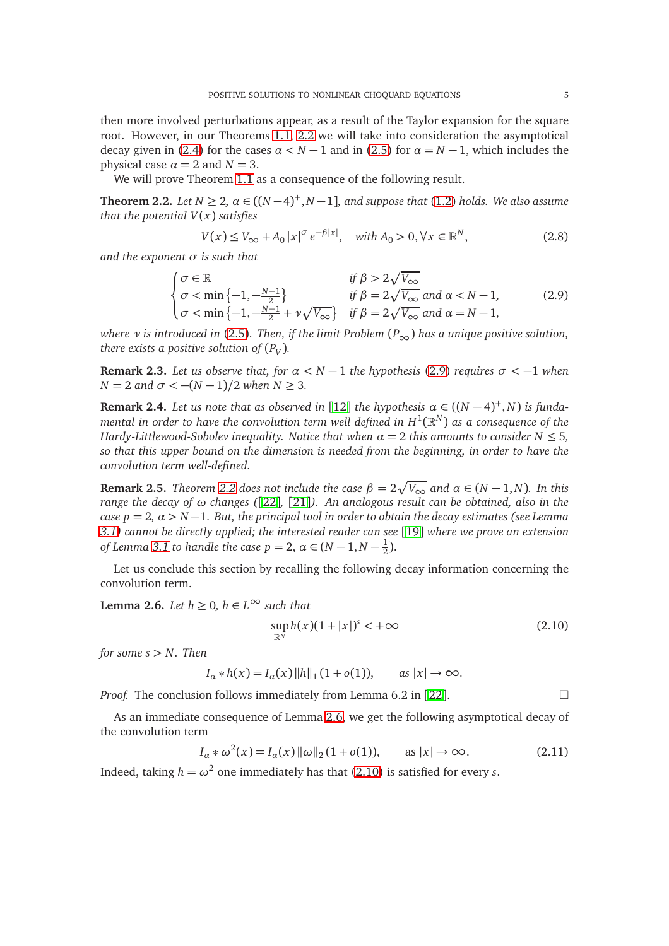then more involved perturbations appear, as a result of the Taylor expansion for the square root. However, in our Theorems [1.1,](#page-1-0) [2.2](#page-4-0) we will take into consideration the asymptotical decay given in [\(2.4\)](#page-3-2) for the cases  $\alpha < N - 1$  and in [\(2.5\)](#page-3-3) for  $\alpha = N - 1$ , which includes the physical case  $\alpha = 2$  and  $N = 3$ .

We will prove Theorem [1.1](#page-1-0) as a consequence of the following result.

<span id="page-4-0"></span>**Theorem 2.2.** *Let*  $N \geq 2$ ,  $\alpha \in ((N-4)^+, N-1]$ *, and suppose that* [\(1.2\)](#page-0-2) *holds. We also assume that the potential V*(*x*) *satisfies*

<span id="page-4-4"></span>
$$
V(x) \le V_{\infty} + A_0 |x|^{\sigma} e^{-\beta |x|}, \quad \text{with } A_0 > 0, \forall x \in \mathbb{R}^N,
$$
\n
$$
(2.8)
$$

*and the exponent σ is such that*

<span id="page-4-1"></span>
$$
\begin{cases}\n\sigma \in \mathbb{R} & \text{if } \beta > 2\sqrt{V_{\infty}} \\
\sigma < \min\left\{-1, -\frac{N-1}{2}\right\} & \text{if } \beta = 2\sqrt{V_{\infty}} \text{ and } \alpha < N-1, \\
\sigma < \min\left\{-1, -\frac{N-1}{2} + \nu\sqrt{V_{\infty}}\right\} & \text{if } \beta = 2\sqrt{V_{\infty}} \text{ and } \alpha = N-1,\n\end{cases}
$$
\n(2.9)

*where ν is introduced in* [\(2.5\)](#page-3-3)*. Then, if the limit Problem* (*P*∞) *has a unique positive solution, there exists a positive solution of*  $(P_V)$ *.* 

**Remark 2.3.** *Let us observe that, for*  $\alpha < N - 1$  *the hypothesis* [\(2.9\)](#page-4-1) *requires*  $\sigma < -1$  *when N* = 2 *and*  $σ < -(N-1)/2$  *when*  $N ≥ 3$ *.* 

**Remark 2.4.** *Let us note that as observed in* [[12](#page-15-12)] *the hypothesis*  $\alpha \in ((N-4)^+, N)$  *is funda*mental in order to have the convolution term well defined in  $H^1(\mathbb{R}^N)$  as a consequence of the *Hardy-Littlewood-Sobolev inequality. Notice that when α* = 2 *this amounts to consider N* ≤ 5*, so that this upper bound on the dimension is needed from the beginning, in order to have the convolution term well-defined.*

**Remark 2.5.** *Theorem [2.2](#page-4-0)* does not include the case  $\beta = 2\sqrt{V_{\infty}}$  and  $\alpha \in (N-1,N)$ . In this *range the decay of ω changes (*[[22](#page-15-3)]*,* [[21](#page-15-7)]*). An analogous result can be obtained, also in the case p* = 2,  $\alpha$  > *N* − 1*. But, the principal tool in order to obtain the decay estimates (see Lemma [3.1\)](#page-5-1) cannot be directly applied; the interested reader can see* [[19](#page-15-15)] *where we prove an extension of Lemma* [3.1](#page-5-1) *to handle the case*  $p = 2$ ,  $\alpha \in (N - 1, N - \frac{1}{2})$  $\frac{1}{2}$ ).

Let us conclude this section by recalling the following decay information concerning the convolution term.

<span id="page-4-2"></span>**Lemma 2.6.** *Let*  $h \geq 0$ ,  $h \in L^{\infty}$  *such that* 

<span id="page-4-3"></span>
$$
\sup_{\mathbb{R}^N} h(x)(1+|x|)^s < +\infty \tag{2.10}
$$

*for some*  $s > N$ *. Then* 

$$
I_{\alpha} * h(x) = I_{\alpha}(x) ||h||_1 (1 + o(1)), \quad \text{as } |x| \to \infty.
$$

*Proof.* The conclusion follows immediately from Lemma 6.2 in [[22](#page-15-3)].  $\Box$ 

As an immediate consequence of Lemma [2.6,](#page-4-2) we get the following asymptotical decay of the convolution term

$$
I_{\alpha} * \omega^{2}(x) = I_{\alpha}(x) ||\omega||_{2} (1 + o(1)), \quad \text{as } |x| \to \infty.
$$
 (2.11)

Indeed, taking  $h = \omega^2$  one immediately has that [\(2.10\)](#page-4-3) is satisfied for every *s*.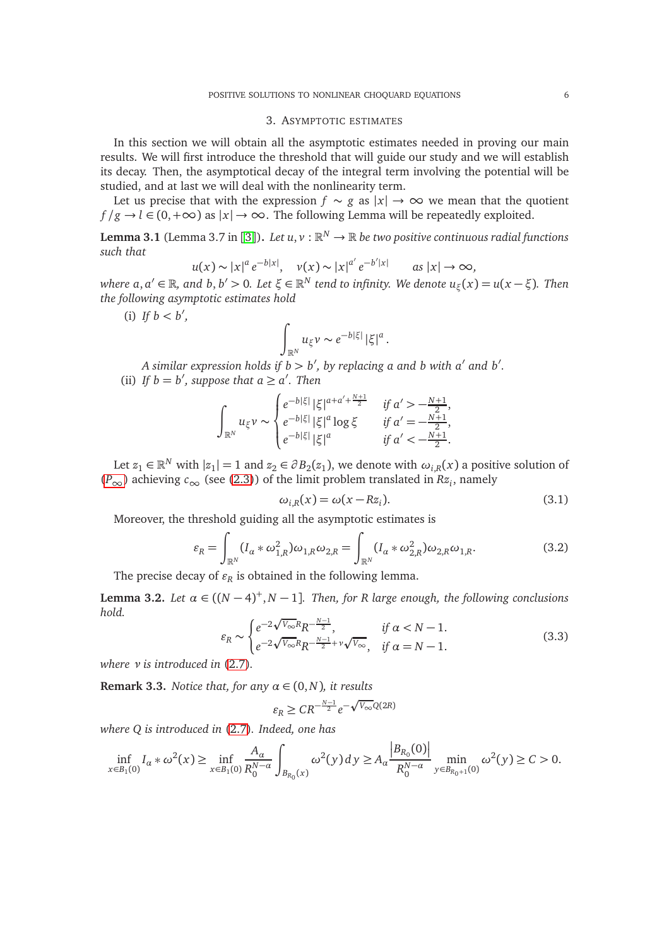### 3. ASYMPTOTIC ESTIMATES

<span id="page-5-0"></span>In this section we will obtain all the asymptotic estimates needed in proving our main results. We will first introduce the threshold that will guide our study and we will establish its decay. Then, the asymptotical decay of the integral term involving the potential will be studied, and at last we will deal with the nonlinearity term.

Let us precise that with the expression  $f \sim g$  as  $|x| \to \infty$  we mean that the quotient  $f/g \rightarrow l \in (0, +\infty)$  as  $|x| \rightarrow \infty$ . The following Lemma will be repeatedly exploited.

<span id="page-5-1"></span>**Lemma [3](#page-14-3).1** (Lemma 3.7 in [3]). Let  $u, v : \mathbb{R}^N \to \mathbb{R}$  be two positive continuous radial functions *such that*

$$
u(x) \sim |x|^a e^{-b|x|}, \quad v(x) \sim |x|^{a'} e^{-b'|x|} \qquad \text{as } |x| \to \infty,
$$

 $w$ here  $a, a' \in \mathbb{R}$ , and  $b, b' > 0$ . Let  $\xi \in \mathbb{R}^N$  tend to infinity. We denote  $u_{\xi}(x) = u(x - \xi)$ . Then *the following asymptotic estimates hold*

(i) *If*  $b < b'$ ,

$$
\int_{\mathbb{R}^N} u_{\xi} \nu \sim e^{-b|\xi|} |\xi|^a.
$$

*A similar expression holds if b > b* ′ *, by replacing a and b with a*′ *and b*′ *.* (ii) If  $b = b'$ , suppose that  $a \ge a'$ . Then

$$
\int_{\mathbb{R}^N} u_{\xi} \nu \sim\n\begin{cases}\ne^{-b|\xi|} |\xi|^{a+a'+\frac{N+1}{2}} & \text{if } a' > -\frac{N+1}{2}, \\
e^{-b|\xi|} |\xi|^a \log \xi & \text{if } a' = -\frac{N+1}{2}, \\
e^{-b|\xi|} |\xi|^a & \text{if } a' < -\frac{N+1}{2}.\n\end{cases}
$$

Let  $z_1 \in \mathbb{R}^N$  with  $|z_1|=1$  and  $z_2 \in \partial B_2(z_1)$ , we denote with  $\omega_{i,R}(x)$  a positive solution of  $(P<sub>∞</sub>)$  $(P<sub>∞</sub>)$  $(P<sub>∞</sub>)$  achieving  $c<sub>∞</sub>$  (see [\(2.3\)](#page-3-4)) of the limit problem translated in  $Rz<sub>i</sub>$ , namely

<span id="page-5-5"></span>
$$
\omega_{i,R}(x) = \omega(x - Rz_i). \tag{3.1}
$$

Moreover, the threshold guiding all the asymptotic estimates is

<span id="page-5-4"></span>
$$
\varepsilon_R = \int_{\mathbb{R}^N} (I_a * \omega_{1,R}^2) \omega_{1,R} \omega_{2,R} = \int_{\mathbb{R}^N} (I_a * \omega_{2,R}^2) \omega_{2,R} \omega_{1,R}.
$$
 (3.2)

The precise decay of  $\varepsilon_R$  is obtained in the following lemma.

<span id="page-5-3"></span>**Lemma 3.2.** *Let*  $\alpha \in ((N-4)^+, N-1]$ *. Then, for R large enough, the following conclusions hold.*  $\overline{a}$ 

<span id="page-5-2"></span>
$$
\varepsilon_R \sim \begin{cases} e^{-2\sqrt{V_{\infty}}R} R^{-\frac{N-1}{2}}, & \text{if } \alpha < N-1.\\ e^{-2\sqrt{V_{\infty}}R} R^{-\frac{N-1}{2}+\nu\sqrt{V_{\infty}}}, & \text{if } \alpha = N-1. \end{cases} \tag{3.3}
$$

*where ν is introduced in* [\(2.7\)](#page-3-1)*.*

**Remark 3.3.** *Notice that, for any*  $\alpha \in (0, N)$ *, it results*  $\varepsilon_R \geq CR^{-\frac{N-1}{2}}e^{-\sqrt{V_{\infty}}Q(2R)}$ 

*where Q is introduced in* [\(2.7\)](#page-3-1)*. Indeed, one has*

$$
\inf_{x \in B_1(0)} I_a * \omega^2(x) \ge \inf_{x \in B_1(0)} \frac{A_\alpha}{R_0^{N-\alpha}} \int_{B_{R_0}(x)} \omega^2(y) dy \ge A_\alpha \frac{|B_{R_0}(0)|}{R_0^{N-\alpha}} \min_{y \in B_{R_0+1}(0)} \omega^2(y) \ge C > 0.
$$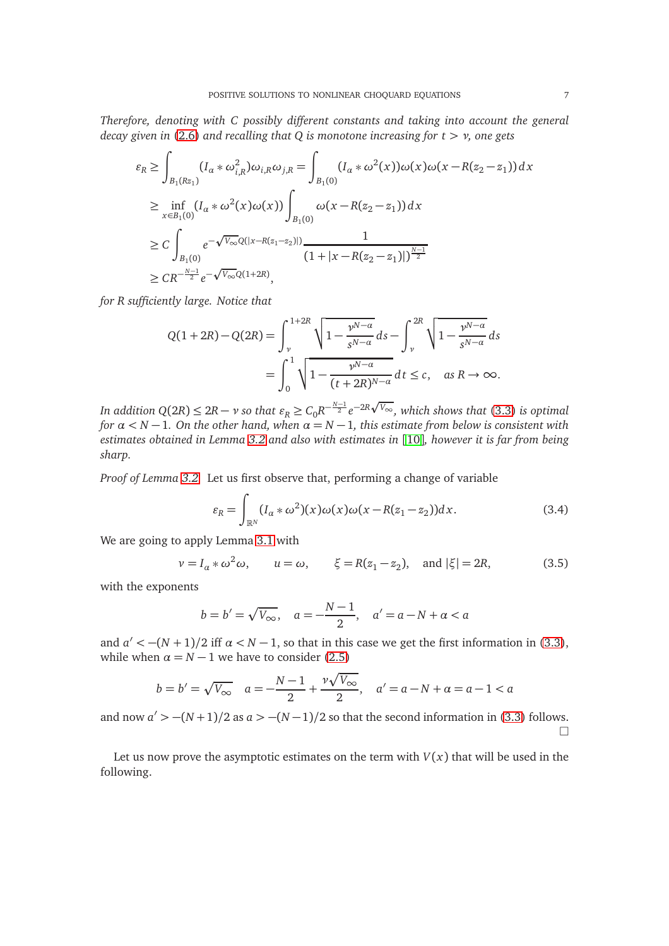*Therefore, denoting with C possibly different constants and taking into account the general decay given in* [\(2.6\)](#page-3-5) *and recalling that Q is monotone increasing for t > ν, one gets*

$$
\varepsilon_R \ge \int_{B_1(Rz_1)} (I_\alpha * \omega_{i,R}^2) \omega_{i,R} \omega_{j,R} = \int_{B_1(0)} (I_\alpha * \omega^2(x)) \omega(x) \omega(x - R(z_2 - z_1)) dx
$$
  
\n
$$
\ge \inf_{x \in B_1(0)} (I_\alpha * \omega^2(x) \omega(x)) \int_{B_1(0)} \omega(x - R(z_2 - z_1)) dx
$$
  
\n
$$
\ge C \int_{B_1(0)} e^{-\sqrt{V_\infty} Q(|x - R(z_1 - z_2)|)} \frac{1}{(1 + |x - R(z_2 - z_1)|)^{\frac{N-1}{2}}}
$$
  
\n
$$
\ge C R^{-\frac{N-1}{2}} e^{-\sqrt{V_\infty} Q(1 + 2R)},
$$

*for R sufficiently large. Notice that*

$$
Q(1+2R) - Q(2R) = \int_{\nu}^{1+2R} \sqrt{1 - \frac{\nu^{N-\alpha}}{s^{N-\alpha}}} ds - \int_{\nu}^{2R} \sqrt{1 - \frac{\nu^{N-\alpha}}{s^{N-\alpha}}} ds
$$
  
= 
$$
\int_{0}^{1} \sqrt{1 - \frac{\nu^{N-\alpha}}{(t+2R)^{N-\alpha}}} dt \le c, \text{ as } R \to \infty.
$$

*In addition Q*(2*R*) ≤ 2*R* − *ν so that*  $\varepsilon_R$  ≥  $C_0R^{-\frac{N-1}{2}}e^{-2R\sqrt{V_{\infty}}},$  which shows that [\(3.3\)](#page-5-2) is optimal *for*  $\alpha$  < *N* − 1*.* On the other hand, when  $\alpha$  = *N* − 1*, this estimate from below is consistent with estimates obtained in Lemma [3.2](#page-5-3) and also with estimates in* [[10](#page-15-11)]*, however it is far from being sharp.*

*Proof of Lemma [3.2.](#page-5-3)* Let us first observe that, performing a change of variable

$$
\varepsilon_R = \int_{\mathbb{R}^N} (I_\alpha * \omega^2)(x) \omega(x) \omega(x - R(z_1 - z_2)) dx.
$$
 (3.4)

We are going to apply Lemma [3.1](#page-5-1) with

$$
\nu = I_{\alpha} * \omega^2 \omega, \qquad u = \omega, \qquad \xi = R(z_1 - z_2), \quad \text{and } |\xi| = 2R,\tag{3.5}
$$

with the exponents

$$
b = b' = \sqrt{V_{\infty}}, \quad a = -\frac{N-1}{2}, \quad a' = a - N + a < a
$$

and  $a' < -(N+1)/2$  iff  $\alpha < N-1$ , so that in this case we get the first information in [\(3.3\)](#page-5-2), while when  $\alpha = N - 1$  we have to consider [\(2.5\)](#page-3-3)

$$
b = b' = \sqrt{V_{\infty}} \quad a = -\frac{N-1}{2} + \frac{\nu \sqrt{V_{\infty}}}{2}, \quad a' = a - N + a = a - 1 < a
$$

and now  $a' > -(N+1)/2$  as  $a > -(N-1)/2$  so that the second information in [\(3.3\)](#page-5-2) follows.  $\Box$ 

Let us now prove the asymptotic estimates on the term with  $V(x)$  that will be used in the following.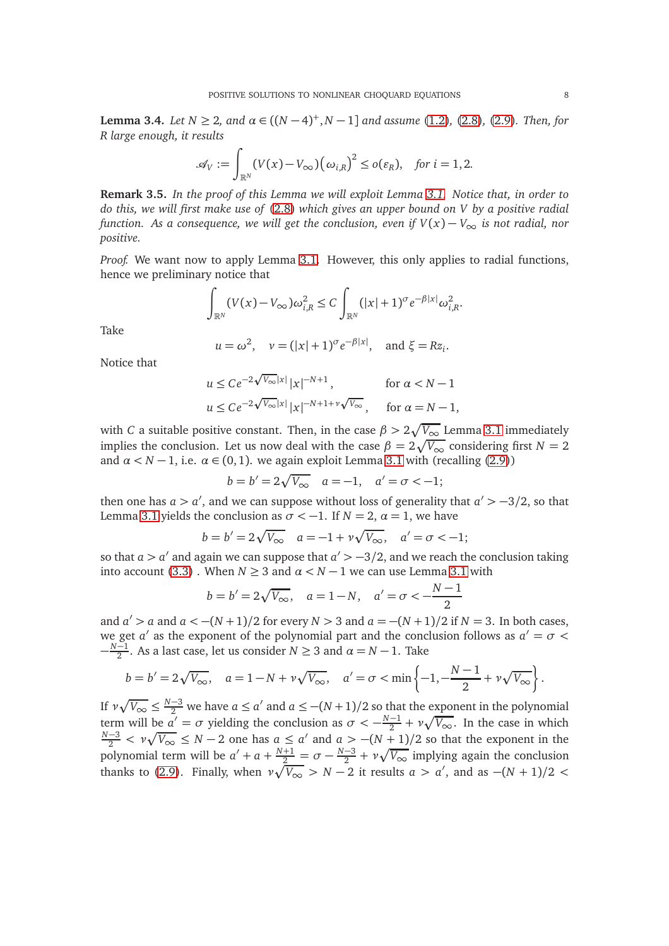<span id="page-7-0"></span>**Lemma 3.4.** *Let*  $N \ge 2$ *, and*  $\alpha \in ((N-4)^+, N-1]$  *and assume* [\(1.2\)](#page-0-2)*,* [\(2.8\)](#page-4-4)*,* [\(2.9\)](#page-4-1)*. Then, for R large enough, it results*

$$
\mathscr{A}_V := \int_{\mathbb{R}^N} (V(x) - V_{\infty}) (\omega_{i,R})^2 \le o(\varepsilon_R), \quad \text{for } i = 1, 2.
$$

**Remark 3.5.** *In the proof of this Lemma we will exploit Lemma [3.1.](#page-5-1) Notice that, in order to do this, we will first make use of* [\(2.8\)](#page-4-4) *which gives an upper bound on V by a positive radial function. As a consequence, we will get the conclusion, even if V*(*x*) − *V*<sup>∞</sup> *is not radial, nor positive.*

*Proof.* We want now to apply Lemma [3.1.](#page-5-1) However, this only applies to radial functions, hence we preliminary notice that

$$
\int_{\mathbb{R}^N} (V(x) - V_{\infty}) \omega_{i,R}^2 \le C \int_{\mathbb{R}^N} (|x| + 1)^{\sigma} e^{-\beta |x|} \omega_{i,R}^2.
$$

Take

$$
u = \omega^2
$$
,  $v = (|x| + 1)^{\sigma} e^{-\beta |x|}$ , and  $\xi = Rz_i$ .

Notice that

$$
u \le Ce^{-2\sqrt{V_{\infty}}|x|} |x|^{-N+1}, \quad \text{for } \alpha < N-1
$$
  

$$
u \le Ce^{-2\sqrt{V_{\infty}}|x|} |x|^{-N+1+\nu\sqrt{V_{\infty}}}, \quad \text{for } \alpha = N-1,
$$

with *C* a suitable positive constant. Then, in the case  $\beta > 2\sqrt{V_{\infty}}$  Lemma [3.1](#page-5-1) immediately implies the conclusion. Let us now deal with the case  $\beta = 2\sqrt{V_{\infty}}$  considering first  $N = 2$ and  $\alpha$  < *N* − 1, i.e.  $\alpha$  ∈ (0, 1). we again exploit Lemma [3.1](#page-5-1) with (recalling [\(2.9\)](#page-4-1))

$$
b = b' = 2\sqrt{V_{\infty}}
$$
  $a = -1$ ,  $a' = \sigma < -1$ ;

then one has  $a > a'$ , and we can suppose without loss of generality that  $a' > -3/2$ , so that Lemma [3.1](#page-5-1) yields the conclusion as  $\sigma < -1$ . If  $N = 2$ ,  $\alpha = 1$ , we have

$$
b = b' = 2\sqrt{V_{\infty}}
$$
  $a = -1 + v\sqrt{V_{\infty}}$ ,  $a' = \sigma < -1$ ;

so that  $a > a'$  and again we can suppose that  $a' > -3/2$ , and we reach the conclusion taking into account [\(3.3\)](#page-5-2). When  $N \ge 3$  and  $\alpha < N - 1$  we can use Lemma [3.1](#page-5-1) with

$$
b = b' = 2\sqrt{V_{\infty}}, \quad a = 1 - N, \quad a' = \sigma < -\frac{N-1}{2}
$$

and  $a' > a$  and  $a < -(N+1)/2$  for every  $N > 3$  and  $a = -(N+1)/2$  if  $N = 3$ . In both cases, we get *a* ′ as the exponent of the polynomial part and the conclusion follows as *a* ′ = *σ <* − *N*−1 2 . As a last case, let us consider *N* ≥ 3 and *α* = *N* − 1. Take

$$
b = b' = 2\sqrt{V_{\infty}}, \quad a = 1 - N + \nu\sqrt{V_{\infty}}, \quad a' = \sigma < \min\left\{-1, -\frac{N-1}{2} + \nu\sqrt{V_{\infty}}\right\}.
$$

If  $\nu \sqrt{V_{\infty}} \leq \frac{N-3}{2}$  we have  $a \leq a'$  and  $a \leq -(N+1)/2$  so that the exponent in the polynomial term will be  $a' = \sigma$  yielding the conclusion as  $\sigma < -\frac{N-1}{2} + \nu \sqrt{V_{\infty}}$ . In the case in which *N*−3  $\lt v \sqrt{V_{\infty}}$  ≤ *N* − 2 one has  $a \le a'$  and  $a > -(N+1)/2$  so that the exponent in the polynomial term will be  $a' + a + \frac{N+1}{2} = \sigma - \frac{N-3}{2} + \nu \sqrt{V_{\infty}}$  implying again the conclusion thanks to [\(2.9\)](#page-4-1). Finally, when  $\nu \sqrt{V_{\infty}} > N - 2$  it results  $a > a'$ , and as  $-(N + 1)/2 <$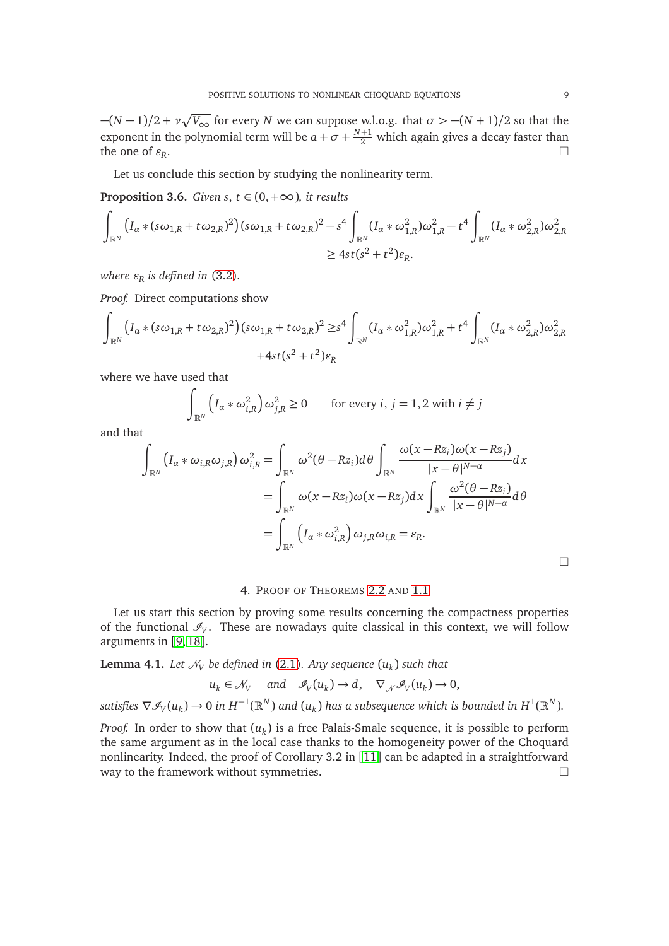−(*N* − 1)*/*2 + *ν* p *V*<sup>∞</sup> for every *N* we can suppose w.l.o.g. that *σ >* −(*N* + 1)*/*2 so that the exponent in the polynomial term will be  $a + \sigma + \frac{N+1}{2}$  which again gives a decay faster than the one of  $\varepsilon_R$ . .

Let us conclude this section by studying the nonlinearity term.

<span id="page-8-1"></span>**Proposition 3.6.** *Given s*,  $t \in (0, +\infty)$ *, it results* 

$$
\int_{\mathbb{R}^N} (I_{\alpha} * (s\omega_{1,R} + t\omega_{2,R})^2)(s\omega_{1,R} + t\omega_{2,R})^2 - s^4 \int_{\mathbb{R}^N} (I_{\alpha} * \omega_{1,R}^2)\omega_{1,R}^2 - t^4 \int_{\mathbb{R}^N} (I_{\alpha} * \omega_{2,R}^2)\omega_{2,R}^2
$$
  
\n
$$
\geq 4st(s^2 + t^2)\varepsilon_R.
$$

*where*  $\varepsilon_R$  *is defined in* [\(3.2\)](#page-5-4).

*Proof.* Direct computations show

$$
\int_{\mathbb{R}^N} (I_a * (s\omega_{1,R} + t\omega_{2,R})^2)(s\omega_{1,R} + t\omega_{2,R})^2 \ge s^4 \int_{\mathbb{R}^N} (I_a * \omega_{1,R}^2)\omega_{1,R}^2 + t^4 \int_{\mathbb{R}^N} (I_a * \omega_{2,R}^2)\omega_{2,R}^2
$$
  
+4st(s<sup>2</sup> + t<sup>2</sup>)\varepsilon<sub>R</sub>

where we have used that

$$
\int_{\mathbb{R}^N} \left( I_{\alpha} * \omega_{i,R}^2 \right) \omega_{j,R}^2 \ge 0 \qquad \text{for every } i, j = 1, 2 \text{ with } i \ne j
$$

and that

$$
\int_{\mathbb{R}^N} (I_{\alpha} * \omega_{i,R} \omega_{j,R}) \omega_{i,R}^2 = \int_{\mathbb{R}^N} \omega^2 (\theta - Rz_i) d\theta \int_{\mathbb{R}^N} \frac{\omega(x - Rz_i) \omega(x - Rz_j)}{|x - \theta|^{N - \alpha}} dx
$$
  
\n
$$
= \int_{\mathbb{R}^N} \omega(x - Rz_i) \omega(x - Rz_j) dx \int_{\mathbb{R}^N} \frac{\omega^2 (\theta - Rz_i)}{|x - \theta|^{N - \alpha}} d\theta
$$
  
\n
$$
= \int_{\mathbb{R}^N} (I_{\alpha} * \omega_{i,R}^2) \omega_{j,R} \omega_{i,R} = \varepsilon_R.
$$

4. PROOF OF THEOREMS [2.2](#page-4-0) AND [1.1](#page-1-0)

<span id="page-8-0"></span>Let us start this section by proving some results concerning the compactness properties of the functional  $\mathcal{I}_V$ . These are nowadays quite classical in this context, we will follow arguments in [[9,](#page-14-4) [18](#page-15-16)].

<span id="page-8-2"></span> $\bf{Lemma \ 4.1.}$  *Let*  $\mathcal{N}_V$  be defined in [\(2.1\)](#page-3-6). Any sequence  $(u_k)$  such that

$$
u_k \in \mathcal{N}_V
$$
 and  $\mathcal{I}_V(u_k) \to d$ ,  $\nabla_{\mathcal{N}} \mathcal{I}_V(u_k) \to 0$ ,

 $s$ *atisfies*  $\nabla \mathscr{I}_{V}(u_k) \to 0$  in  $H^{-1}(\mathbb{R}^N)$  and  $(u_k)$  has a subsequence which is bounded in  $H^1(\mathbb{R}^N)$ .

*Proof.* In order to show that (*u<sup>k</sup>* ) is a free Palais-Smale sequence, it is possible to perform the same argument as in the local case thanks to the homogeneity power of the Choquard nonlinearity. Indeed, the proof of Corollary 3.2 in [[11](#page-15-17)] can be adapted in a straightforward way to the framework without symmetries.

 $\Box$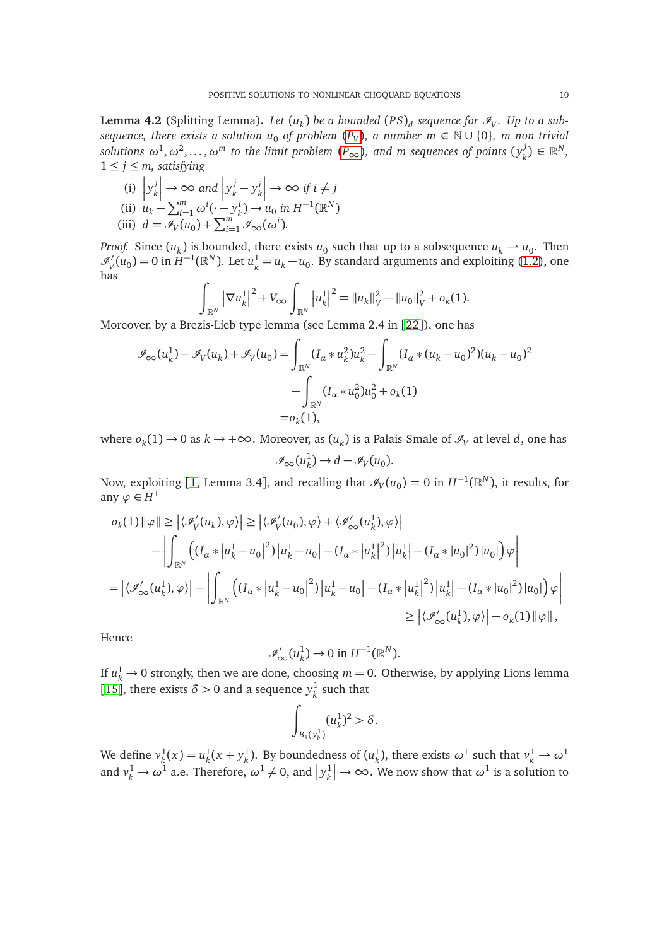<span id="page-9-0"></span>**Lemma 4.2** (Splitting Lemma). Let  $(u_k)$  be a bounded  $(PS)_d$  sequence for  $\mathscr{I}_V$ . Up to a sub*sequence, there exists a solution*  $u_0$  *of problem*  $(P_V)$  $(P_V)$  $(P_V)$ *, a number m* ∈ N ∪ {0}*, m non trivial*  $s$ olutions  $\omega^1, \omega^2, \ldots, \omega^m$  to the limit problem  $(P_\infty)$  $(P_\infty)$  $(P_\infty)$ , and m sequences of points  $(\mathcal{Y}^j_k)$  $\binom{J}{k} \in \mathbb{R}^N$ ,  $1 \leq j \leq m$ , satisfying

(i) 
$$
|y_k^j| \to \infty
$$
 and  $|y_k^j - y_k^i| \to \infty$  if  $i \neq j$   
\n(ii)  $u_k - \sum_{i=1}^m \omega^i(\cdot - y_k^i) \to u_0$  in  $H^{-1}(\mathbb{R}^N)$   
\n(iii)  $d = \mathcal{I}_V(u_0) + \sum_{i=1}^m \mathcal{I}_\infty(\omega^i)$ .

*Proof.* Since  $(u_k)$  is bounded, there exists  $u_0$  such that up to a subsequence  $u_k \to u_0$ . Then  $\mathscr{I}'_V(u_0) = 0$  in  $H^{-1}(\mathbb{R}^N)$ . Let  $u_k^1 = u_k - u_0$ . By standard arguments and exploiting [\(1.2\)](#page-0-2), one has

$$
\int_{\mathbb{R}^N} |\nabla u_k^1|^2 + V_{\infty} \int_{\mathbb{R}^N} |u_k^1|^2 = ||u_k||_V^2 - ||u_0||_V^2 + o_k(1).
$$

Moreover, by a Brezis-Lieb type lemma (see Lemma 2.4 in [[22](#page-15-3)]), one has

$$
\mathcal{I}_{\infty}(u_k^1) - \mathcal{I}_V(u_k) + \mathcal{I}_V(u_0) = \int_{\mathbb{R}^N} (I_{\alpha} * u_k^2) u_k^2 - \int_{\mathbb{R}^N} (I_{\alpha} * (u_k - u_0)^2) (u_k - u_0)^2
$$

$$
- \int_{\mathbb{R}^N} (I_{\alpha} * u_0^2) u_0^2 + o_k(1)
$$

$$
= o_k(1),
$$

 $\omega_k$  where  $o_k(1)$  → 0 as  $k \to +\infty$ . Moreover, as  $(u_k)$  is a Palais-Smale of  $\mathscr{I}_V$  at level *d*, one has  $\mathscr{I}_{\infty}(u_k^1)$  $\frac{1}{k}$   $\rightarrow$  *d*  $-\mathscr{I}_V(u_0)$ .

Now, exploiting [[1,](#page-14-5) Lemma 3.4], and recalling that  $\mathscr{I}_{V}(u_0) = 0$  in  $H^{-1}(\mathbb{R}^N)$ , it results, for any  $\varphi \in H^1$ 

$$
o_k(1) \|\varphi\| \geq \left| \langle \mathcal{I}_V'(u_k), \varphi \rangle \right| \geq \left| \langle \mathcal{I}_V'(u_0), \varphi \rangle + \langle \mathcal{I}_\infty'(u_k^1), \varphi \rangle \right|
$$
  
- 
$$
\left| \int_{\mathbb{R}^N} \left( (I_\alpha * |u_k^1 - u_0|^2) |u_k^1 - u_0| - (I_\alpha * |u_k^1|^2) |u_k^1| - (I_\alpha * |u_0|^2) |u_0| \right) \varphi \right|
$$
  
= 
$$
\left| \langle \mathcal{I}_\infty'(u_k^1), \varphi \rangle \right| - \left| \int_{\mathbb{R}^N} \left( (I_\alpha * |u_k^1 - u_0|^2) |u_k^1 - u_0| - (I_\alpha * |u_k^1|^2) |u_k^1| - (I_\alpha * |u_0|^2) |u_0| \right) \varphi \right|
$$
  

$$
\geq \left| \langle \mathcal{I}_\infty'(u_k^1), \varphi \rangle \right| - o_k(1) \|\varphi\|,
$$

Hence

$$
\mathscr{I}'_{\infty}(u_k^1) \to 0 \text{ in } H^{-1}(\mathbb{R}^N).
$$

If  $u_k^1 \to 0$  strongly, then we are done, choosing  $m = 0$ . Otherwise, by applying Lions lemma [[15](#page-15-2)], there exists  $\delta > 0$  and a sequence  $y_k^1$  $k$ <sup>l</sup> such that

$$
\int_{B_1(y_k^1)} (u_k^1)^2 > \delta.
$$

We define *v* 1  $u_k^1(x) = u_k^1$  $\frac{1}{k}(x + y_k^1)$  $\frac{1}{k}$ ). By boundedness of  $(u_k^1)$  $\omega^1$ , there exists  $\omega^1$  such that  $v^1_k \to \omega^1$ and  $v_k^1 \rightarrow \omega^1$  a.e. Therefore,  $\omega^1 \neq 0$ , and  $\left| y_k^1 \right|$  $\left| \mu \right| \rightarrow \infty$ . We now show that  $\omega^1$  is a solution to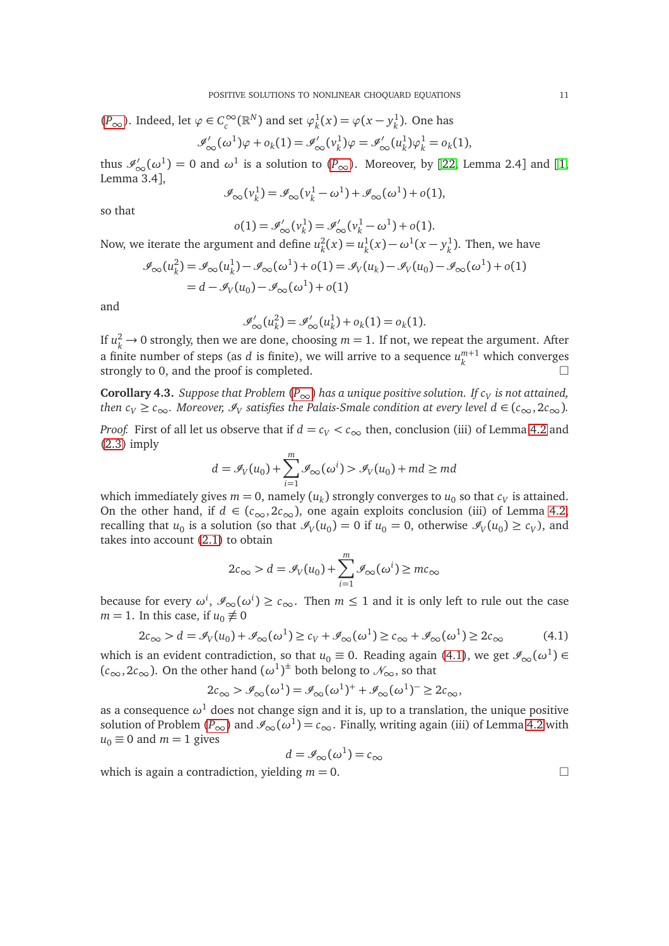$$
(P_{\infty})
$$
. Indeed, let  $\varphi \in C_c^{\infty}(\mathbb{R}^N)$  and set  $\varphi_k^1(x) = \varphi(x - y_k^1)$ . One has  

$$
\mathscr{I}'_{\infty}(\omega^1)\varphi + o_k(1) = \mathscr{I}'_{\infty}(v_k^1)\varphi = \mathscr{I}'_{\infty}(u_k^1)\varphi_k^1 = o_k(1),
$$

thus  $\mathscr{I}'_{\infty}(\omega^1) = 0$  and  $\omega^1$  is a solution to  $(P_{\infty})$  $(P_{\infty})$  $(P_{\infty})$ . Moreover, by [[22,](#page-15-3) Lemma 2.4] and [[1,](#page-14-5) Lemma 3.4],

$$
\mathscr{I}_{\infty}(\nu_k^1) = \mathscr{I}_{\infty}(\nu_k^1 - \omega^1) + \mathscr{I}_{\infty}(\omega^1) + o(1),
$$

so that

$$
o(1) = \mathscr{I}_{\infty}'(\nu_k^1) = \mathscr{I}_{\infty}'(\nu_k^1 - \omega^1) + o(1).
$$

Now, we iterate the argument and define  $u_{\nu}^2$  $u_k^2(x) = u_k^1$  $\frac{1}{k}(x) - \omega^1(x - y_k^1)$  $\frac{1}{k}$ ). Then, we have

$$
\mathcal{I}_{\infty}(u_k^2) = \mathcal{I}_{\infty}(u_k^1) - \mathcal{I}_{\infty}(\omega^1) + o(1) = \mathcal{I}_V(u_k) - \mathcal{I}_V(u_0) - \mathcal{I}_{\infty}(\omega^1) + o(1)
$$
  
=  $d - \mathcal{I}_V(u_0) - \mathcal{I}_{\infty}(\omega^1) + o(1)$ 

and

$$
\mathcal{I}'_{\infty}(u_k^2) = \mathcal{I}'_{\infty}(u_k^1) + o_k(1) = o_k(1).
$$

If  $u_k^2 \to 0$  strongly, then we are done, choosing  $m = 1$ . If not, we repeat the argument. After a finite number of steps (as  $d$  is finite), we will arrive to a sequence  $u_k^{m+1}$  $\binom{m+1}{k}$  which converges strongly to 0, and the proof is completed.

<span id="page-10-1"></span>**Corollary 4.3.** *Suppose that [P](#page-0-1)roblem*  $(P_{\infty})$  *has a unique positive solution. If*  $c_V$  *is not attained, then c*<sub>V</sub>  $\ge$  *c*<sub>∞</sub>. Moreover,  $\mathcal{I}_V$  satisfies the Palais-Smale condition at every level  $d \in (c_{\infty}, 2c_{\infty})$ .

*Proof.* First of all let us observe that if  $d = c_V < c_\infty$  then, conclusion (iii) of Lemma [4.2](#page-9-0) and [\(2.3\)](#page-3-4) imply

$$
d = \mathcal{I}_V(u_0) + \sum_{i=1}^m \mathcal{I}_\infty(\omega^i) > \mathcal{I}_V(u_0) + md \ge md
$$

which immediately gives  $m = 0$ , namely  $(u_k)$  strongly converges to  $u_0$  so that  $c_V$  is attained. On the other hand, if  $d \in (c_{\infty}, 2c_{\infty})$ , one again exploits conclusion (iii) of Lemma [4.2,](#page-9-0) recalling that  $u_0$  is a solution (so that  $\mathcal{I}_V(u_0) = 0$  if  $u_0 = 0$ , otherwise  $\mathcal{I}_V(u_0) \ge c_V$ ), and takes into account [\(2.1\)](#page-3-6) to obtain

$$
2c_{\infty} > d = \mathcal{I}_V(u_0) + \sum_{i=1}^m \mathcal{I}_{\infty}(\omega^i) \ge mc_{\infty}
$$

because for every  $\omega^i$ ,  $\mathscr{I}_{\infty}(\omega^i) \ge c_{\infty}$ . Then  $m \le 1$  and it is only left to rule out the case  $m = 1$ . In this case, if  $u_0 \not\equiv 0$ 

<span id="page-10-0"></span>
$$
2c_{\infty} > d = \mathcal{I}_V(u_0) + \mathcal{I}_{\infty}(\omega^1) \ge c_V + \mathcal{I}_{\infty}(\omega^1) \ge c_{\infty} + \mathcal{I}_{\infty}(\omega^1) \ge 2c_{\infty}
$$
(4.1)

which is an evident contradiction, so that  $u_0 \equiv 0$ . Reading again [\(4.1\)](#page-10-0), we get  $\mathscr{I}_{\infty}(\omega^1) \in$  $(c_{\infty}, 2c_{\infty})$ . On the other hand  $(\omega^1)^{\pm}$  both belong to  $\mathcal{N}_{\infty}$ , so that

$$
2c_{\infty} > \mathscr{I}_{\infty}(\omega^1) = \mathscr{I}_{\infty}(\omega^1)^+ + \mathscr{I}_{\infty}(\omega^1)^- \geq 2c_{\infty},
$$

as a consequence  $\omega^1$  does not change sign and it is, up to a translation, the unique positive solution of [P](#page-0-1)roblem  $(P_{\infty})$  and  $\mathcal{I}_{\infty}(\omega^1) = c_{\infty}$ . Finally, writing again (iii) of Lemma [4.2](#page-9-0) with  $u_0 \equiv 0$  and  $m = 1$  gives

$$
d = \mathscr{I}_{\infty}(\omega^1) = c_{\infty}
$$

which is again a contradiction, yielding  $m = 0$ .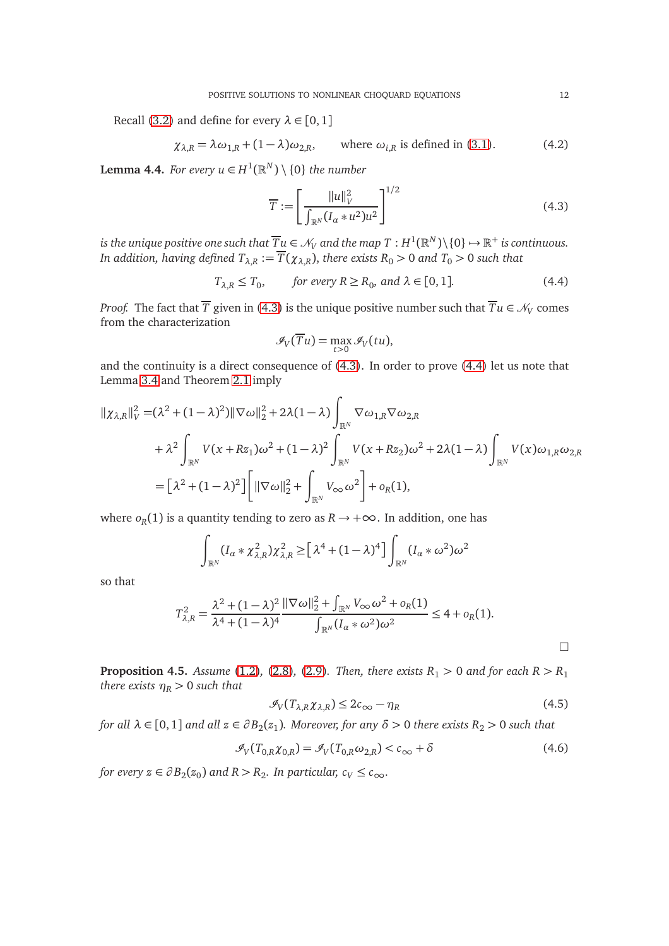Recall [\(3.2\)](#page-5-4) and define for every  $\lambda \in [0, 1]$ 

$$
\chi_{\lambda,R} = \lambda \omega_{1,R} + (1 - \lambda) \omega_{2,R}, \qquad \text{where } \omega_{i,R} \text{ is defined in (3.1).}
$$
 (4.2)

<span id="page-11-2"></span>**Lemma 4.4.** *For every*  $u \in H^1(\mathbb{R}^N) \setminus \{0\}$  *the number* 

<span id="page-11-0"></span>
$$
\overline{T} := \left[ \frac{\|u\|_{V}^{2}}{\int_{\mathbb{R}^{N}} (I_{\alpha} * u^{2}) u^{2}} \right]^{1/2}
$$
(4.3)

is the unique positive one such that  $\overline{Tu} \in \mathscr{N}_V$  and the map  $T : H^1(\mathbb{R}^N) \backslash \{0\} \mapsto \mathbb{R}^+$  is continuous. *In addition, having defined*  $T_{\lambda,R} := \overline{T}(\chi_{\lambda,R})$ , *there exists*  $R_0 > 0$  *and*  $T_0 > 0$  *such that* 

<span id="page-11-1"></span>
$$
T_{\lambda,R} \le T_0, \qquad \text{for every } R \ge R_0, \text{ and } \lambda \in [0,1]. \tag{4.4}
$$

*Proof.* The fact that  $T$  given in [\(4.3\)](#page-11-0) is the unique positive number such that  $Tu \in \mathcal{N}_V$  comes from the characterization

$$
\mathcal{I}_V(\overline{T}u) = \max_{t>0} \mathcal{I}_V(tu),
$$

and the continuity is a direct consequence of [\(4.3\)](#page-11-0). In order to prove [\(4.4\)](#page-11-1) let us note that Lemma [3.4](#page-7-0) and Theorem [2.1](#page-3-0) imply

$$
\begin{split} ||\chi_{\lambda,R}||_{V}^{2} &= (\lambda^{2} + (1 - \lambda)^{2}) ||\nabla \omega||_{2}^{2} + 2\lambda (1 - \lambda) \int_{\mathbb{R}^{N}} \nabla \omega_{1,R} \nabla \omega_{2,R} \\ &+ \lambda^{2} \int_{\mathbb{R}^{N}} V(x + Rz_{1}) \omega^{2} + (1 - \lambda)^{2} \int_{\mathbb{R}^{N}} V(x + Rz_{2}) \omega^{2} + 2\lambda (1 - \lambda) \int_{\mathbb{R}^{N}} V(x) \omega_{1,R} \omega_{2,R} \\ &= \left[ \lambda^{2} + (1 - \lambda)^{2} \right] \left[ ||\nabla \omega||_{2}^{2} + \int_{\mathbb{R}^{N}} V_{\infty} \omega^{2} \right] + o_{R}(1), \end{split}
$$

where  $o_R(1)$  is a quantity tending to zero as  $R \to +\infty$ . In addition, one has

$$
\int_{\mathbb{R}^N} (I_\alpha * \chi_{\lambda,R}^2) \chi_{\lambda,R}^2 \geq \left[ \lambda^4 + (1 - \lambda)^4 \right] \int_{\mathbb{R}^N} (I_\alpha * \omega^2) \omega^2
$$

so that

$$
T_{\lambda,R}^2 = \frac{\lambda^2 + (1 - \lambda)^2}{\lambda^4 + (1 - \lambda)^4} \frac{\|\nabla \omega\|_2^2 + \int_{\mathbb{R}^N} V_{\infty} \omega^2 + o_R(1)}{\int_{\mathbb{R}^N} (I_{\alpha} * \omega^2) \omega^2} \le 4 + o_R(1).
$$

 $\Box$ 

<span id="page-11-5"></span>**Proposition 4.5.** *Assume* [\(1.2\)](#page-0-2)*,* [\(2.8\)](#page-4-4)*,* [\(2.9\)](#page-4-1)*. Then, there exists*  $R_1 > 0$  *and for each*  $R > R_1$ *there exists*  $\eta_R > 0$  *such that* 

<span id="page-11-3"></span>
$$
\mathcal{I}_V(T_{\lambda,R}\chi_{\lambda,R}) \le 2c_{\infty} - \eta_R \tag{4.5}
$$

*for all*  $\lambda \in [0,1]$  *and all*  $z \in \partial B_2(z_1)$ . Moreover, for any  $\delta > 0$  there exists  $R_2 > 0$  such that

<span id="page-11-4"></span>
$$
\mathcal{I}_V(T_{0,R}\chi_{0,R}) = \mathcal{I}_V(T_{0,R}\omega_{2,R}) < c_\infty + \delta \tag{4.6}
$$

*for every*  $z \in \partial B_2(z_0)$  and  $R > R_2$ . In particular,  $c_V \leq c_{\infty}$ .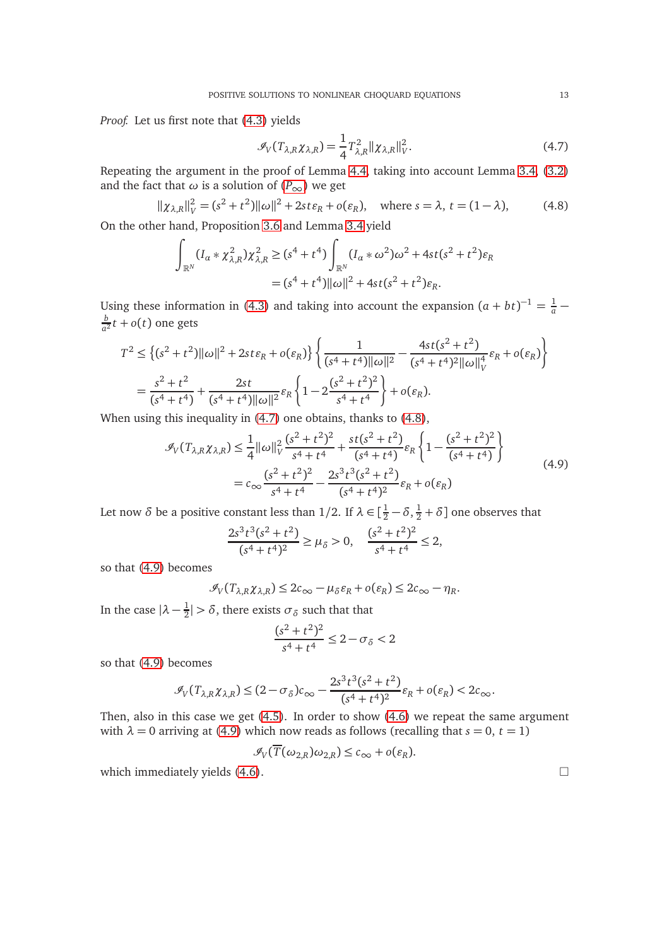*Proof.* Let us first note that [\(4.3\)](#page-11-0) yields

<span id="page-12-0"></span>
$$
\mathcal{I}_V(T_{\lambda,R}\chi_{\lambda,R}) = \frac{1}{4}T_{\lambda,R}^2 ||\chi_{\lambda,R}||_V^2.
$$
 (4.7)

Repeating the argument in the proof of Lemma [4.4,](#page-11-2) taking into account Lemma [3.4,](#page-7-0) [\(3.2\)](#page-5-4) and the fact that  $\omega$  is a solution of ( $P_{\infty}$  $P_{\infty}$ ) we get

<span id="page-12-1"></span>
$$
\|\chi_{\lambda,R}\|_{V}^{2} = (s^{2} + t^{2})\|\omega\|^{2} + 2st\varepsilon_{R} + o(\varepsilon_{R}), \quad \text{where } s = \lambda, t = (1 - \lambda), \tag{4.8}
$$

On the other hand, Proposition [3.6](#page-8-1) and Lemma [3.4](#page-7-0) yield

$$
\int_{\mathbb{R}^N} (I_{\alpha} * \chi^2_{\lambda,R}) \chi^2_{\lambda,R} \ge (s^4 + t^4) \int_{\mathbb{R}^N} (I_{\alpha} * \omega^2) \omega^2 + 4st(s^2 + t^2) \varepsilon_R
$$
  
=  $(s^4 + t^4) ||\omega||^2 + 4st(s^2 + t^2) \varepsilon_R$ .

Using these information in [\(4.3\)](#page-11-0) and taking into account the expansion  $(a + bt)^{-1} = \frac{1}{a}$ *b*  $\frac{b}{a^2}t + o(t)$  one gets

$$
T^2 \leq \left\{ (s^2 + t^2) ||\omega||^2 + 2st \varepsilon_R + o(\varepsilon_R) \right\} \left\{ \frac{1}{(s^4 + t^4) ||\omega||^2} - \frac{4st(s^2 + t^2)}{(s^4 + t^4)^2 ||\omega||_V^4} \varepsilon_R + o(\varepsilon_R) \right\}
$$
  
=  $\frac{s^2 + t^2}{(s^4 + t^4)} + \frac{2st}{(s^4 + t^4) ||\omega||^2} \varepsilon_R \left\{ 1 - 2 \frac{(s^2 + t^2)^2}{s^4 + t^4} \right\} + o(\varepsilon_R).$ 

When using this inequality in [\(4.7\)](#page-12-0) one obtains, thanks to [\(4.8\)](#page-12-1),

$$
\mathcal{I}_{V}(T_{\lambda,R}\chi_{\lambda,R}) \leq \frac{1}{4} ||\omega||_{V}^{2} \frac{(s^{2} + t^{2})^{2}}{s^{4} + t^{4}} + \frac{st(s^{2} + t^{2})}{(s^{4} + t^{4})} \varepsilon_{R} \left\{ 1 - \frac{(s^{2} + t^{2})^{2}}{(s^{4} + t^{4})} \right\}
$$
\n
$$
= c_{\infty} \frac{(s^{2} + t^{2})^{2}}{s^{4} + t^{4}} - \frac{2s^{3}t^{3}(s^{2} + t^{2})}{(s^{4} + t^{4})^{2}} \varepsilon_{R} + o(\varepsilon_{R})
$$
\n(4.9)

<span id="page-12-2"></span>Let now  $\delta$  be a positive constant less than 1/2. If  $\lambda \in [\frac{1}{2} - \delta, \frac{1}{2} + \delta]$  one observes that

$$
\frac{2s^3t^3(s^2+t^2)}{(s^4+t^4)^2} \ge \mu_{\delta} > 0, \quad \frac{(s^2+t^2)^2}{s^4+t^4} \le 2,
$$

so that [\(4.9\)](#page-12-2) becomes

$$
\mathcal{I}_V(T_{\lambda,R}\chi_{\lambda,R}) \leq 2c_{\infty} - \mu_{\delta}\varepsilon_R + o(\varepsilon_R) \leq 2c_{\infty} - \eta_R.
$$

In the case  $|\lambda - \frac{1}{2}\rangle$  $\frac{1}{2}$   $> \delta$ , there exists  $\sigma_{\delta}$  such that that

$$
\frac{(s^2 + t^2)^2}{s^4 + t^4} \le 2 - \sigma_{\delta} < 2
$$

so that [\(4.9\)](#page-12-2) becomes

$$
\mathcal{I}_V(T_{\lambda,R}\chi_{\lambda,R}) \le (2-\sigma_\delta)c_\infty - \frac{2s^3t^3(s^2+t^2)}{(s^4+t^4)^2}\varepsilon_R + o(\varepsilon_R) < 2c_\infty.
$$

Then, also in this case we get [\(4.5\)](#page-11-3). In order to show [\(4.6\)](#page-11-4) we repeat the same argument with  $\lambda = 0$  arriving at [\(4.9\)](#page-12-2) which now reads as follows (recalling that  $s = 0$ ,  $t = 1$ )

$$
\mathscr{I}_{V}(T(\omega_{2,R})\omega_{2,R})\leq c_{\infty}+o(\varepsilon_{R}).
$$

which immediately yields  $(4.6)$ .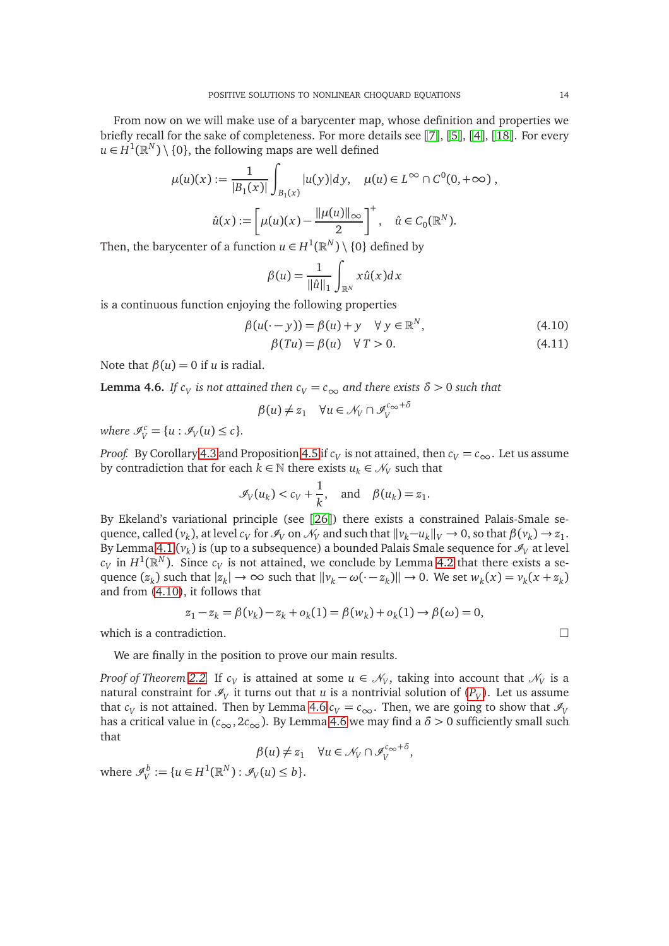From now on we will make use of a barycenter map, whose definition and properties we briefly recall for the sake of completeness. For more details see [[7](#page-14-6)], [[5](#page-14-7)], [[4](#page-14-8)], [[18](#page-15-16)]. For every *u* ∈ *H*<sup>1</sup>( $\mathbb{R}^N$ ) \ {0}, the following maps are well defined

$$
\mu(u)(x) := \frac{1}{|B_1(x)|} \int_{B_1(x)} |u(y)| dy, \quad \mu(u) \in L^{\infty} \cap C^0(0, +\infty),
$$

$$
\hat{u}(x) := \left[ \mu(u)(x) - \frac{\|\mu(u)\|_{\infty}}{2} \right]^+, \quad \hat{u} \in C_0(\mathbb{R}^N).
$$

Then, the barycenter of a function  $u \in H^1(\mathbb{R}^N) \setminus \{0\}$  defined by

<span id="page-13-0"></span>
$$
\beta(u) = \frac{1}{\|\hat{u}\|_1} \int_{\mathbb{R}^N} x \hat{u}(x) dx
$$

is a continuous function enjoying the following properties

$$
\beta(u(\cdot - y)) = \beta(u) + y \quad \forall \ y \in \mathbb{R}^N,
$$
\n(4.10)

$$
\beta(Tu) = \beta(u) \quad \forall \, T > 0. \tag{4.11}
$$

Note that  $\beta(u) = 0$  if *u* is radial.

<span id="page-13-1"></span>**Lemma 4.6.** *If*  $c_V$  *is not attained then*  $c_V = c_{\infty}$  *and there exists*  $\delta > 0$  *such that* 

$$
\beta(u) \neq z_1 \quad \forall u \in \mathcal{N}_V \cap \mathcal{I}_V^{c_{\infty} + \delta}
$$

*where*  $\mathscr{I}_{V}^{c} = \{u : \mathscr{I}_{V}(u) \leq c\}.$ 

*Proof.* By Corollary [4.3](#page-10-1) and Proposition [4.5](#page-11-5) if  $c_V$  is not attained, then  $c_V = c_\infty$ . Let us assume by contradiction that for each  $k \in \mathbb{N}$  there exists  $u_k \in \mathcal{N}_V$  such that

$$
\mathcal{I}_V(u_k) < c_V + \frac{1}{k}, \quad \text{and} \quad \beta(u_k) = z_1.
$$

By Ekeland's variational principle (see [[26](#page-15-18)]) there exists a constrained Palais-Smale sequence, called  $(v_k)$ , at level  $c_V$  for  $\mathcal{I}_V$  on  $\mathcal{N}_V$  and such that  $||v_k-u_k||_V \to 0$ , so that  $\beta(v_k) \to z_1$ . By Lemma [4.1](#page-8-2)  $(v_k)$  is (up to a subsequence) a bounded Palais Smale sequence for  $\mathscr{I}_V$  at level  $c_V$  in  $H^1(\mathbb{R}^N).$  Since  $c_V$  is not attained, we conclude by Lemma [4.2](#page-9-0) that there exists a sequence  $(z_k)$  such that  $|z_k| \to \infty$  such that  $||v_k - \omega(\cdot - z_k)|| \to 0$ . We set  $w_k(x) = v_k(x + z_k)$ and from [\(4.10\)](#page-13-0), it follows that

$$
z_1 - z_k = \beta(v_k) - z_k + o_k(1) = \beta(w_k) + o_k(1) \to \beta(\omega) = 0,
$$

which is a contradiction.  $\Box$ 

We are finally in the position to prove our main results.

*Proof of Theorem [2.2.](#page-4-0)* If  $c_V$  is attained at some  $u \in \mathcal{N}_V$ , taking into account that  $\mathcal{N}_V$  is a natural constraint for  $\mathscr{I}_V$  it turns out that  $u$  is a nontrivial solution of  $(P_V)$  $(P_V)$  $(P_V)$ . Let us assume that *c<sub>V</sub>* is not attained. Then by Lemma [4.6](#page-13-1) *c<sub>V</sub>* = *c*<sub>∞</sub>. Then, we are going to show that  $\mathcal{I}_V$ has a critical value in  $(c_{\infty}, 2c_{\infty})$ . By Lemma [4.6](#page-13-1) we may find a  $\delta > 0$  sufficiently small such that

$$
\beta(u) \neq z_1 \quad \forall u \in \mathcal{N}_V \cap \mathcal{I}_V^{c_{\infty} + \delta},
$$

where  $\mathscr{I}_{V}^{b} := \{u \in H^{1}(\mathbb{R}^{N}) : \mathscr{I}_{V}(u) \leq b\}.$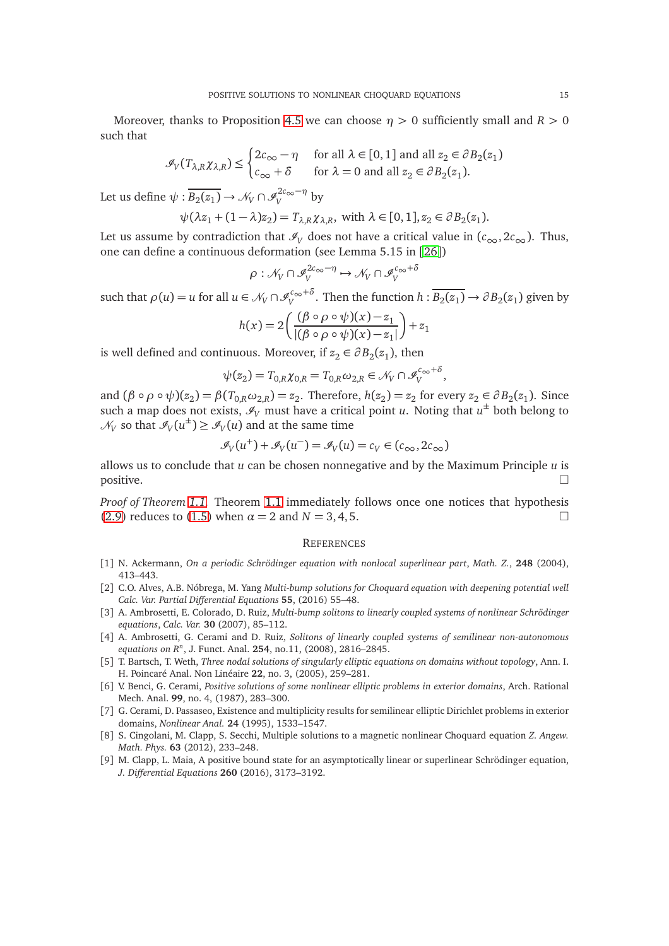Moreover, thanks to Proposition [4.5](#page-11-5) we can choose  $\eta > 0$  sufficiently small and  $R > 0$ such that

$$
\mathcal{I}_V(T_{\lambda,R}\chi_{\lambda,R}) \le \begin{cases} 2c_{\infty} - \eta & \text{for all } \lambda \in [0,1] \text{ and all } z_2 \in \partial B_2(z_1) \\ c_{\infty} + \delta & \text{for } \lambda = 0 \text{ and all } z_2 \in \partial B_2(z_1). \end{cases}
$$

Let us define  $\psi : \overline{B_2(z_1)} \to \mathcal{N}_V \cap \mathcal{I}_V^{2c_{\infty} - \eta}$  by

$$
\psi(\lambda z_1 + (1 - \lambda)z_2) = T_{\lambda,R}\chi_{\lambda,R}, \text{ with } \lambda \in [0,1], z_2 \in \partial B_2(z_1).
$$

Let us assume by contradiction that  $\mathcal{I}_V$  does not have a critical value in  $(c_{\infty}, 2c_{\infty})$ . Thus, one can define a continuous deformation (see Lemma 5.15 in [[26](#page-15-18)])

$$
\rho: \mathcal{N}_V \cap \mathcal{I}_V^{2c_{\infty} - \eta} \mapsto \mathcal{N}_V \cap \mathcal{I}_V^{c_{\infty} + \delta}
$$

such that  $\rho(u) = u$  for all  $u \in \mathcal{N}_V \cap \mathcal{I}_V^{c_{\infty} + \delta}$ . Then the function  $h : \overline{B_2(z_1)} \to \partial B_2(z_1)$  given by

$$
h(x) = 2\left(\frac{(\beta \circ \rho \circ \psi)(x) - z_1}{|(\beta \circ \rho \circ \psi)(x) - z_1|}\right) + z_1
$$

is well defined and continuous. Moreover, if  $z_2 \in \partial B_2(z_1)$ , then

$$
\psi(z_2) = T_{0,R} \chi_{0,R} = T_{0,R} \omega_{2,R} \in \mathcal{N}_V \cap \mathcal{I}_V^{c_{\infty} + \delta},
$$

and  $(\beta \circ \rho \circ \psi)(z_2) = \beta(T_{0,R}\omega_{2,R}) = z_2$ . Therefore,  $h(z_2) = z_2$  for every  $z_2 \in \partial B_2(z_1)$ . Since such a map does not exists,  $\mathscr{I}_V$  must have a critical point *u*. Noting that  $u^{\pm}$  both belong to  $\mathcal{N}_V$  so that  $\mathcal{I}_V(u^{\pm}) \geq \mathcal{I}_V(u)$  and at the same time

$$
\mathcal{I}_V(u^+) + \mathcal{I}_V(u^-) = \mathcal{I}_V(u) = c_V \in (c_{\infty}, 2c_{\infty})
$$

allows us to conclude that *u* can be chosen nonnegative and by the Maximum Principle *u* is  $\Box$ 

*Proof of Theorem [1.1.](#page-1-0)* Theorem [1.1](#page-1-0) immediately follows once one notices that hypothesis [\(2.9\)](#page-4-1) reduces to [\(1.5\)](#page-1-1) when  $\alpha = 2$  and  $N = 3, 4, 5$ .

#### **REFERENCES**

- <span id="page-14-5"></span>[1] N. Ackermann, *On a periodic Schrödinger equation with nonlocal superlinear part*, *Math. Z.*, **248** (2004), 413–443.
- <span id="page-14-1"></span>[2] C.O. Alves, A.B. Nóbrega, M. Yang *Multi-bump solutions for Choquard equation with deepening potential well Calc. Var. Partial Differential Equations* **55**, (2016) 55–48.
- <span id="page-14-3"></span>[3] A. Ambrosetti, E. Colorado, D. Ruiz, *Multi-bump solitons to linearly coupled systems of nonlinear Schrödinger equations*, *Calc. Var.* **30** (2007), 85–112.
- <span id="page-14-8"></span>[4] A. Ambrosetti, G. Cerami and D. Ruiz, *Solitons of linearly coupled systems of semilinear non-autonomous equations on R<sup>n</sup>* , J. Funct. Anal. **254**, no.11, (2008), 2816–2845.
- <span id="page-14-7"></span>[5] T. Bartsch, T. Weth, *Three nodal solutions of singularly elliptic equations on domains without topology*, Ann. I. H. Poincaré Anal. Non Linéaire **22**, no. 3, (2005), 259–281.
- <span id="page-14-0"></span>[6] V. Benci, G. Cerami, *Positive solutions of some nonlinear elliptic problems in exterior domains*, Arch. Rational Mech. Anal. **99**, no. 4, (1987), 283–300.
- <span id="page-14-6"></span>[7] G. Cerami, D. Passaseo, Existence and multiplicity results for semilinear elliptic Dirichlet problems in exterior domains, *Nonlinear Anal.* **24** (1995), 1533–1547.
- <span id="page-14-2"></span>[8] S. Cingolani, M. Clapp, S. Secchi, Multiple solutions to a magnetic nonlinear Choquard equation *Z. Angew. Math. Phys.* **63** (2012), 233–248.
- <span id="page-14-4"></span>[9] M. Clapp, L. Maia, A positive bound state for an asymptotically linear or superlinear Schrödinger equation, *J. Differential Equations* **260** (2016), 3173–3192.